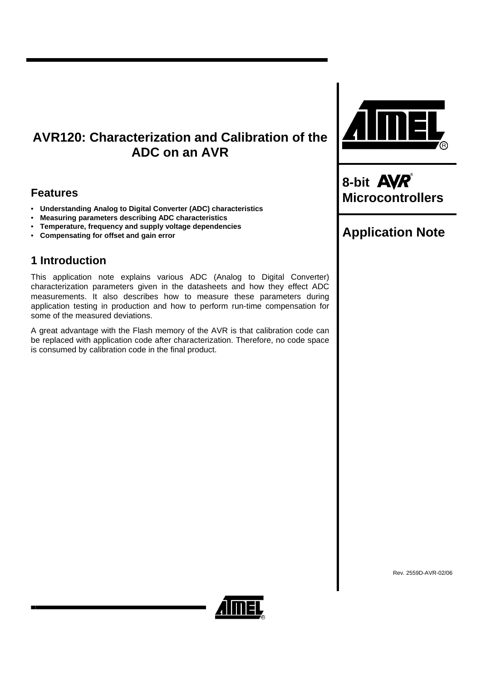# **AVR120: Characterization and Calibration of the ADC on an AVR**

# **Features**

- **Understanding Analog to Digital Converter (ADC) characteristics**
- **Measuring parameters describing ADC characteristics**
- **Temperature, frequency and supply voltage dependencies**
- **Compensating for offset and gain error**

# **1 Introduction**

This application note explains various ADC (Analog to Digital Converter) characterization parameters given in the datasheets and how they effect ADC measurements. It also describes how to measure these parameters during application testing in production and how to perform run-time compensation for some of the measured deviations.

A great advantage with the Flash memory of the AVR is that calibration code can be replaced with application code after characterization. Therefore, no code space is consumed by calibration code in the final product.



8-bit **AVR**<sup>®</sup><br>Microcontrollers

# **Application Note**

Rev. 2559D-AVR-02/06

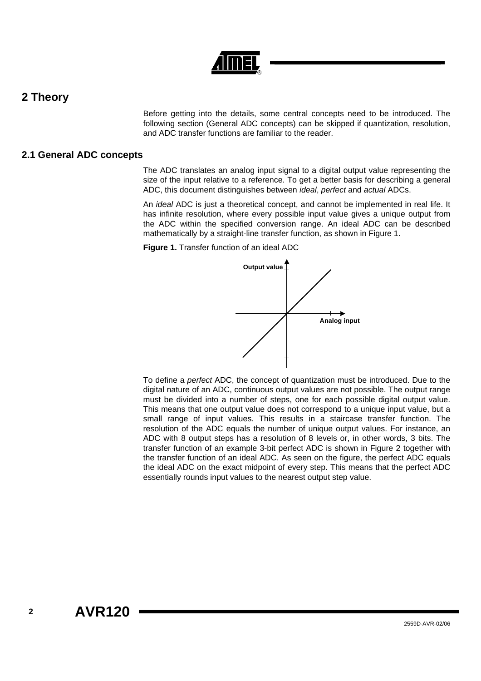## **2 Theory**

Before getting into the details, some central concepts need to be introduced. The following section (General ADC concepts) can be skipped if quantization, resolution, and ADC transfer functions are familiar to the reader.

### **2.1 General ADC concepts**

The ADC translates an analog input signal to a digital output value representing the size of the input relative to a reference. To get a better basis for describing a general ADC, this document distinguishes between *ideal*, *perfect* and *actual* ADCs.

An *ideal* ADC is just a theoretical concept, and cannot be implemented in real life. It has infinite resolution, where every possible input value gives a unique output from the ADC within the specified conversion range. An ideal ADC can be described mathematically by a straight-line transfer function, as shown in [Figure 1.](#page-1-0)

<span id="page-1-0"></span>**Figure 1.** Transfer function of an ideal ADC



To define a *perfect* ADC, the concept of quantization must be introduced. Due to the digital nature of an ADC, continuous output values are not possible. The output range must be divided into a number of steps, one for each possible digital output value. This means that one output value does not correspond to a unique input value, but a small range of input values. This results in a staircase transfer function. The resolution of the ADC equals the number of unique output values. For instance, an ADC with 8 output steps has a resolution of 8 levels or, in other words, 3 bits. The transfer function of an example 3-bit perfect ADC is shown in [Figure 2](#page-2-0) together with the transfer function of an ideal ADC. As seen on the figure, the perfect ADC equals the ideal ADC on the exact midpoint of every step. This means that the perfect ADC essentially rounds input values to the nearest output step value.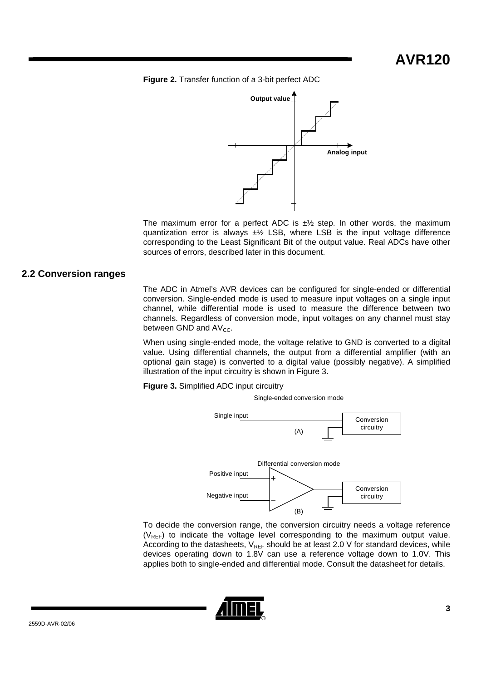<span id="page-2-0"></span>**Figure 2.** Transfer function of a 3-bit perfect ADC



The maximum error for a perfect ADC is  $\pm\frac{1}{2}$  step. In other words, the maximum quantization error is always  $\pm\frac{1}{2}$  LSB, where LSB is the input voltage difference corresponding to the Least Significant Bit of the output value. Real ADCs have other sources of errors, described later in this document.

### **2.2 Conversion ranges**

The ADC in Atmel's AVR devices can be configured for single-ended or differential conversion. Single-ended mode is used to measure input voltages on a single input channel, while differential mode is used to measure the difference between two channels. Regardless of conversion mode, input voltages on any channel must stay between GND and  $AV_{CC}$ .

When using single-ended mode, the voltage relative to GND is converted to a digital value. Using differential channels, the output from a differential amplifier (with an optional gain stage) is converted to a digital value (possibly negative). A simplified illustration of the input circuitry is shown in [Figure 3.](#page-2-1)

<span id="page-2-1"></span>**Figure 3.** Simplified ADC input circuitry

Single-ended conversion mode



To decide the conversion range, the conversion circuitry needs a voltage reference  $(V_{REF})$  to indicate the voltage level corresponding to the maximum output value. According to the datasheets,  $V_{REF}$  should be at least 2.0 V for standard devices, while devices operating down to 1.8V can use a reference voltage down to 1.0V. This applies both to single-ended and differential mode. Consult the datasheet for details.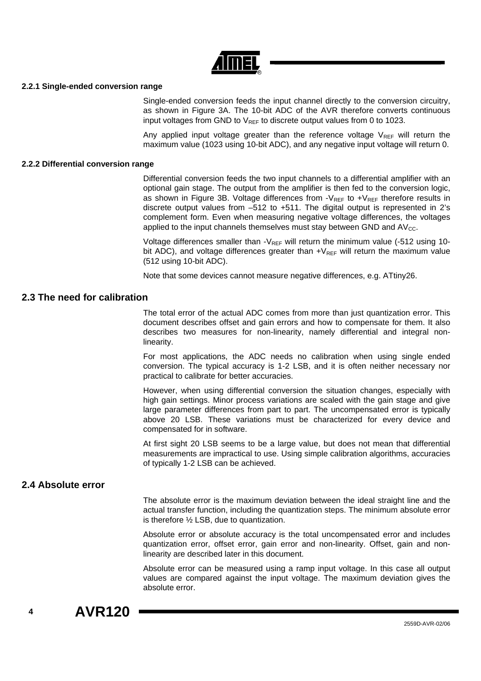

### **2.2.1 Single-ended conversion range**

Single-ended conversion feeds the input channel directly to the conversion circuitry, as shown in [Figure 3A](#page-2-1). The 10-bit ADC of the AVR therefore converts continuous input voltages from GND to  $V_{\text{REF}}$  to discrete output values from 0 to 1023.

Any applied input voltage greater than the reference voltage  $V_{REF}$  will return the maximum value (1023 using 10-bit ADC), and any negative input voltage will return 0.

#### **2.2.2 Differential conversion range**

Differential conversion feeds the two input channels to a differential amplifier with an optional gain stage. The output from the amplifier is then fed to the conversion logic, as shown in [Figure 3B](#page-2-1). Voltage differences from  $-V_{REF}$  to  $+V_{REF}$  therefore results in discrete output values from –512 to +511. The digital output is represented in 2's complement form. Even when measuring negative voltage differences, the voltages applied to the input channels themselves must stay between GND and  $AV_{CC}$ .

Voltage differences smaller than  $-V_{REF}$  will return the minimum value (-512 using 10bit ADC), and voltage differences greater than  $+V_{REF}$  will return the maximum value (512 using 10-bit ADC).

Note that some devices cannot measure negative differences, e.g. ATtiny26.

### **2.3 The need for calibration**

The total error of the actual ADC comes from more than just quantization error. This document describes offset and gain errors and how to compensate for them. It also describes two measures for non-linearity, namely differential and integral nonlinearity.

For most applications, the ADC needs no calibration when using single ended conversion. The typical accuracy is 1-2 LSB, and it is often neither necessary nor practical to calibrate for better accuracies.

However, when using differential conversion the situation changes, especially with high gain settings. Minor process variations are scaled with the gain stage and give large parameter differences from part to part. The uncompensated error is typically above 20 LSB. These variations must be characterized for every device and compensated for in software.

At first sight 20 LSB seems to be a large value, but does not mean that differential measurements are impractical to use. Using simple calibration algorithms, accuracies of typically 1-2 LSB can be achieved.

### **2.4 Absolute error**

The absolute error is the maximum deviation between the ideal straight line and the actual transfer function, including the quantization steps. The minimum absolute error is therefore ½ LSB, due to quantization.

Absolute error or absolute accuracy is the total uncompensated error and includes quantization error, offset error, gain error and non-linearity. Offset, gain and nonlinearity are described later in this document.

Absolute error can be measured using a ramp input voltage. In this case all output values are compared against the input voltage. The maximum deviation gives the absolute error.

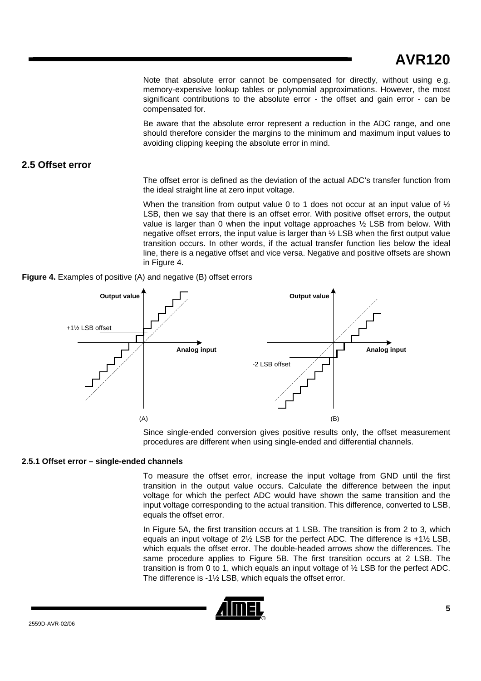Note that absolute error cannot be compensated for directly, without using e.g. memory-expensive lookup tables or polynomial approximations. However, the most significant contributions to the absolute error - the offset and gain error - can be compensated for.

Be aware that the absolute error represent a reduction in the ADC range, and one should therefore consider the margins to the minimum and maximum input values to avoiding clipping keeping the absolute error in mind.

### **2.5 Offset error**

The offset error is defined as the deviation of the actual ADC's transfer function from the ideal straight line at zero input voltage.

When the transition from output value 0 to 1 does not occur at an input value of  $\frac{1}{2}$ LSB, then we say that there is an offset error. With positive offset errors, the output value is larger than 0 when the input voltage approaches ½ LSB from below. With negative offset errors, the input value is larger than ½ LSB when the first output value transition occurs. In other words, if the actual transfer function lies below the ideal line, there is a negative offset and vice versa. Negative and positive offsets are shown in [Figure 4.](#page-4-0)

<span id="page-4-0"></span>



Since single-ended conversion gives positive results only, the offset measurement procedures are different when using single-ended and differential channels.

### **2.5.1 Offset error – single-ended channels**

To measure the offset error, increase the input voltage from GND until the first transition in the output value occurs. Calculate the difference between the input voltage for which the perfect ADC would have shown the same transition and the input voltage corresponding to the actual transition. This difference, converted to LSB, equals the offset error.

In [Figure 5A](#page-5-0), the first transition occurs at 1 LSB. The transition is from 2 to 3, which equals an input voltage of 2½ LSB for the perfect ADC. The difference is +1½ LSB, which equals the offset error. The double-headed arrows show the differences. The same procedure applies to [Figure 5B](#page-5-0). The first transition occurs at 2 LSB. The transition is from 0 to 1, which equals an input voltage of ½ LSB for the perfect ADC. The difference is -1½ LSB, which equals the offset error.

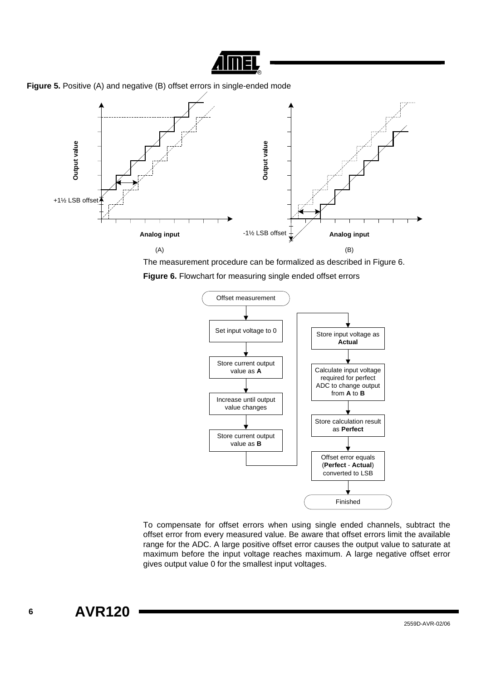

<span id="page-5-0"></span>



The measurement procedure can be formalized as described in [Figure 6.](#page-5-1)

<span id="page-5-1"></span>**Figure 6.** Flowchart for measuring single ended offset errors



To compensate for offset errors when using single ended channels, subtract the offset error from every measured value. Be aware that offset errors limit the available range for the ADC. A large positive offset error causes the output value to saturate at maximum before the input voltage reaches maximum. A large negative offset error gives output value 0 for the smallest input voltages.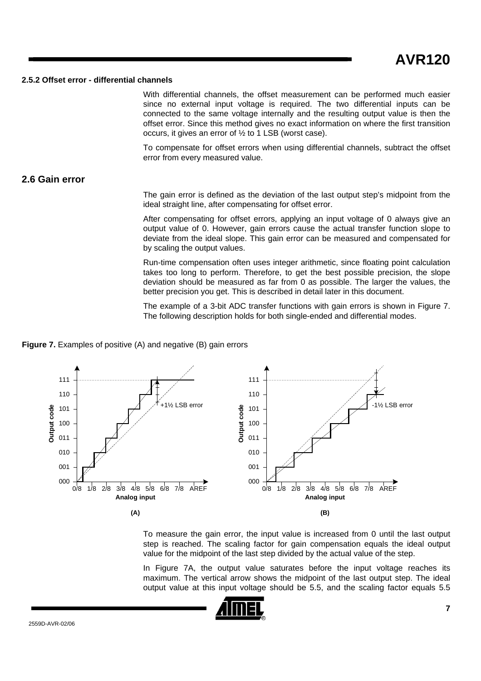#### **2.5.2 Offset error - differential channels**

With differential channels, the offset measurement can be performed much easier since no external input voltage is required. The two differential inputs can be connected to the same voltage internally and the resulting output value is then the offset error. Since this method gives no exact information on where the first transition occurs, it gives an error of ½ to 1 LSB (worst case).

To compensate for offset errors when using differential channels, subtract the offset error from every measured value.

### **2.6 Gain error**

The gain error is defined as the deviation of the last output step's midpoint from the ideal straight line, after compensating for offset error.

After compensating for offset errors, applying an input voltage of 0 always give an output value of 0. However, gain errors cause the actual transfer function slope to deviate from the ideal slope. This gain error can be measured and compensated for by scaling the output values.

Run-time compensation often uses integer arithmetic, since floating point calculation takes too long to perform. Therefore, to get the best possible precision, the slope deviation should be measured as far from 0 as possible. The larger the values, the better precision you get. This is described in detail later in this document.

The example of a 3-bit ADC transfer functions with gain errors is shown in [Figure 7.](#page-6-0) The following description holds for both single-ended and differential modes.

#### <span id="page-6-0"></span>**Figure 7.** Examples of positive (A) and negative (B) gain errors



To measure the gain error, the input value is increased from 0 until the last output step is reached. The scaling factor for gain compensation equals the ideal output value for the midpoint of the last step divided by the actual value of the step.

In [Figure 7A](#page-6-0), the output value saturates before the input voltage reaches its maximum. The vertical arrow shows the midpoint of the last output step. The ideal output value at this input voltage should be 5.5, and the scaling factor equals 5.5

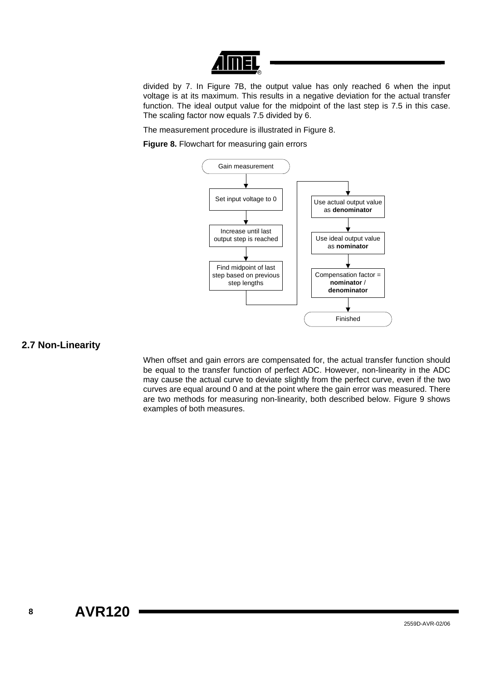

divided by 7. In [Figure 7B](#page-6-0), the output value has only reached 6 when the input voltage is at its maximum. This results in a negative deviation for the actual transfer function. The ideal output value for the midpoint of the last step is 7.5 in this case. The scaling factor now equals 7.5 divided by 6.

The measurement procedure is illustrated in [Figure 8.](#page-7-0)

<span id="page-7-0"></span>**Figure 8.** Flowchart for measuring gain errors



### **2.7 Non-Linearity**

When offset and gain errors are compensated for, the actual transfer function should be equal to the transfer function of perfect ADC. However, non-linearity in the ADC may cause the actual curve to deviate slightly from the perfect curve, even if the two curves are equal around 0 and at the point where the gain error was measured. There are two methods for measuring non-linearity, both described below. [Figure 9](#page-8-0) shows examples of both measures.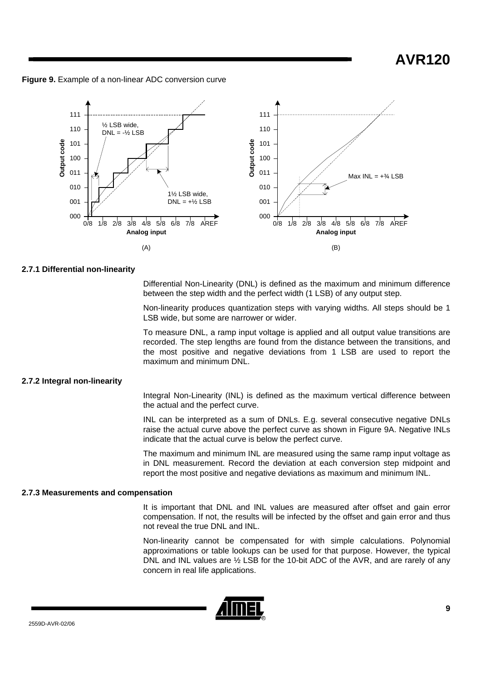**AVR120**

<span id="page-8-0"></span>**Figure 9.** Example of a non-linear ADC conversion curve



#### **2.7.1 Differential non-linearity**

Differential Non-Linearity (DNL) is defined as the maximum and minimum difference between the step width and the perfect width (1 LSB) of any output step.

Non-linearity produces quantization steps with varying widths. All steps should be 1 LSB wide, but some are narrower or wider.

To measure DNL, a ramp input voltage is applied and all output value transitions are recorded. The step lengths are found from the distance between the transitions, and the most positive and negative deviations from 1 LSB are used to report the maximum and minimum DNL.

#### **2.7.2 Integral non-linearity**

Integral Non-Linearity (INL) is defined as the maximum vertical difference between the actual and the perfect curve.

INL can be interpreted as a sum of DNLs. E.g. several consecutive negative DNLs raise the actual curve above the perfect curve as shown in [Figure 9A](#page-8-0). Negative INLs indicate that the actual curve is below the perfect curve.

The maximum and minimum INL are measured using the same ramp input voltage as in DNL measurement. Record the deviation at each conversion step midpoint and report the most positive and negative deviations as maximum and minimum INL.

#### **2.7.3 Measurements and compensation**

It is important that DNL and INL values are measured after offset and gain error compensation. If not, the results will be infected by the offset and gain error and thus not reveal the true DNL and INL.

Non-linearity cannot be compensated for with simple calculations. Polynomial approximations or table lookups can be used for that purpose. However, the typical DNL and INL values are ½ LSB for the 10-bit ADC of the AVR, and are rarely of any concern in real life applications.

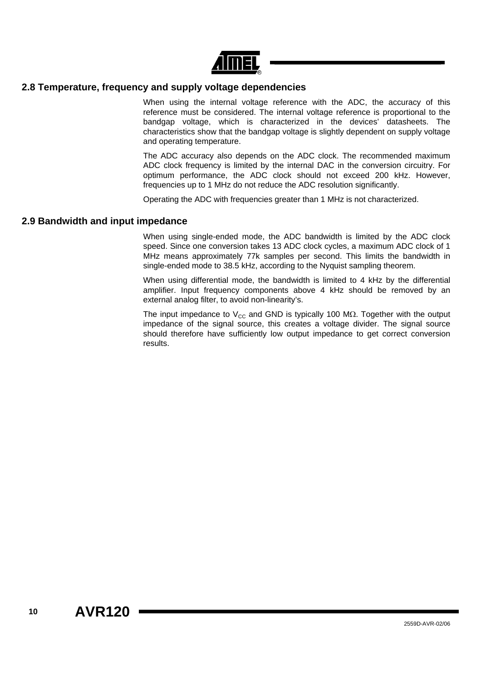

### **2.8 Temperature, frequency and supply voltage dependencies**

When using the internal voltage reference with the ADC, the accuracy of this reference must be considered. The internal voltage reference is proportional to the bandgap voltage, which is characterized in the devices' datasheets. The characteristics show that the bandgap voltage is slightly dependent on supply voltage and operating temperature.

The ADC accuracy also depends on the ADC clock. The recommended maximum ADC clock frequency is limited by the internal DAC in the conversion circuitry. For optimum performance, the ADC clock should not exceed 200 kHz. However, frequencies up to 1 MHz do not reduce the ADC resolution significantly.

Operating the ADC with frequencies greater than 1 MHz is not characterized.

### **2.9 Bandwidth and input impedance**

When using single-ended mode, the ADC bandwidth is limited by the ADC clock speed. Since one conversion takes 13 ADC clock cycles, a maximum ADC clock of 1 MHz means approximately 77k samples per second. This limits the bandwidth in single-ended mode to 38.5 kHz, according to the Nyquist sampling theorem.

When using differential mode, the bandwidth is limited to 4 kHz by the differential amplifier. Input frequency components above 4 kHz should be removed by an external analog filter, to avoid non-linearity's.

The input impedance to  $V_{CC}$  and GND is typically 100 M $\Omega$ . Together with the output impedance of the signal source, this creates a voltage divider. The signal source should therefore have sufficiently low output impedance to get correct conversion results.

**10 AVR120**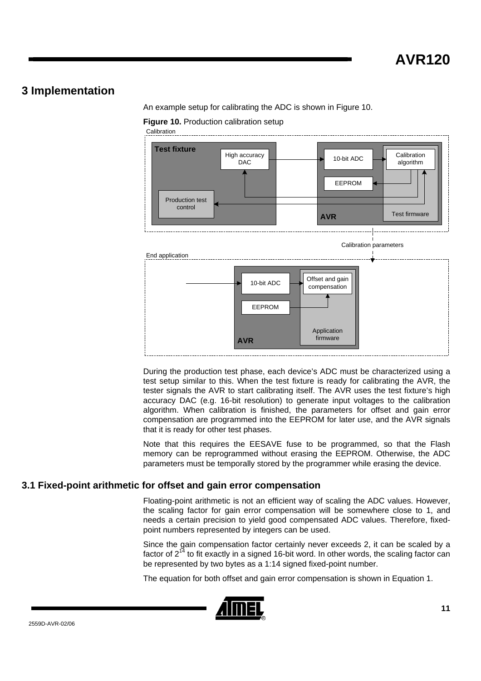## **3 Implementation**

An example setup for calibrating the ADC is shown in [Figure 10.](#page-10-0)

<span id="page-10-0"></span>**Figure 10. Production calibration setup** 

**Calibration** 



During the production test phase, each device's ADC must be characterized using a test setup similar to this. When the test fixture is ready for calibrating the AVR, the tester signals the AVR to start calibrating itself. The AVR uses the test fixture's high accuracy DAC (e.g. 16-bit resolution) to generate input voltages to the calibration algorithm. When calibration is finished, the parameters for offset and gain error compensation are programmed into the EEPROM for later use, and the AVR signals that it is ready for other test phases.

Note that this requires the EESAVE fuse to be programmed, so that the Flash memory can be reprogrammed without erasing the EEPROM. Otherwise, the ADC parameters must be temporally stored by the programmer while erasing the device.

### **3.1 Fixed-point arithmetic for offset and gain error compensation**

Floating-point arithmetic is not an efficient way of scaling the ADC values. However, the scaling factor for gain error compensation will be somewhere close to 1, and needs a certain precision to yield good compensated ADC values. Therefore, fixedpoint numbers represented by integers can be used.

Since the gain compensation factor certainly never exceeds 2, it can be scaled by a factor of  $2^{14}$  to fit exactly in a signed 16-bit word. In other words, the scaling factor can be represented by two bytes as a 1:14 signed fixed-point number.

The equation for both offset and gain error compensation is shown in [Equation 1.](#page-11-0)

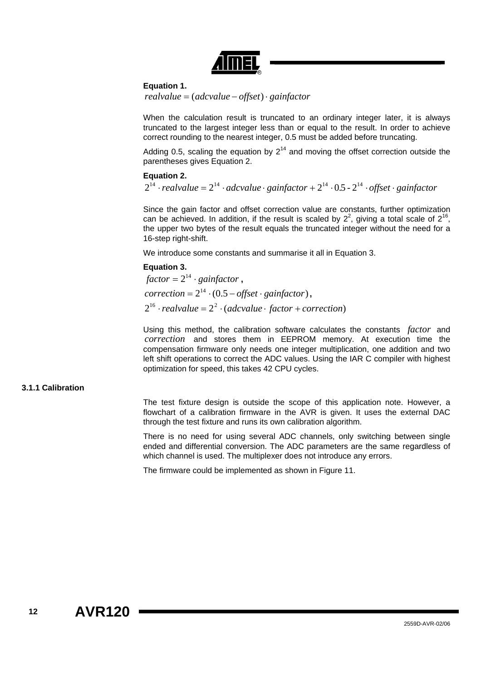

### <span id="page-11-0"></span>**Equation 1.**

*realvalue* = (*adcvalue* − *offset*)⋅ *gainfactor*

When the calculation result is truncated to an ordinary integer later, it is always truncated to the largest integer less than or equal to the result. In order to achieve correct rounding to the nearest integer, 0.5 must be added before truncating.

Adding 0.5, scaling the equation by  $2^{14}$  and moving the offset correction outside the parentheses gives [Equation 2.](#page-11-1)

### <span id="page-11-1"></span>**Equation 2.**

 $2^{14} \cdot$ realvalue =  $2^{14} \cdot$ adcvalue $\cdot$  gainfactor +  $2^{14} \cdot 0.5 - 2^{14} \cdot$ offset $\cdot$  gainfactor

Since the gain factor and offset correction value are constants, further optimization can be achieved. In addition, if the result is scaled by  $2^2$ , giving a total scale of  $2^{16}$ , the upper two bytes of the result equals the truncated integer without the need for a 16-step right-shift.

We introduce some constants and summarise it all in [Equation 3.](#page-11-2)

#### <span id="page-11-2"></span>**Equation 3.**

 $factor = 2^{14} \cdot gainfactor$ ,  $correction = 2^{14} \cdot (0.5 - offset \cdot gainfactor)$ ,  $2^{16} \cdot$ realvalue =  $2^2 \cdot$  (adcvalue  $\cdot$  *factor* + *correction*)

Using this method, the calibration software calculates the constants *factor* and correction and stores them in EEPROM memory. At execution time the compensation firmware only needs one integer multiplication, one addition and two left shift operations to correct the ADC values. Using the IAR C compiler with highest optimization for speed, this takes 42 CPU cycles.

### **3.1.1 Calibration**

The test fixture design is outside the scope of this application note. However, a flowchart of a calibration firmware in the AVR is given. It uses the external DAC through the test fixture and runs its own calibration algorithm.

There is no need for using several ADC channels, only switching between single ended and differential conversion. The ADC parameters are the same regardless of which channel is used. The multiplexer does not introduce any errors.

The firmware could be implemented as shown in [Figure 11.](#page-12-0)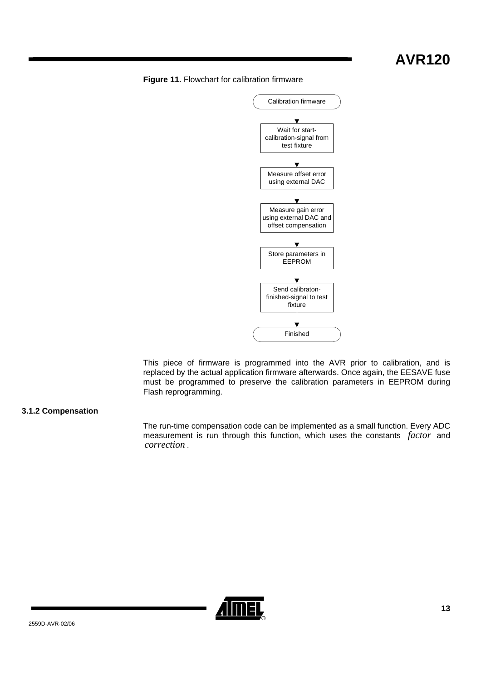# **AVR120**

### <span id="page-12-0"></span>**Figure 11.** Flowchart for calibration firmware



This piece of firmware is programmed into the AVR prior to calibration, and is replaced by the actual application firmware afterwards. Once again, the EESAVE fuse must be programmed to preserve the calibration parameters in EEPROM during Flash reprogramming.

### **3.1.2 Compensation**

<span id="page-12-1"></span>The run-time compensation code can be implemented as a small function. Every ADC measurement is run through this function, which uses the constants *factor* and . *correction*

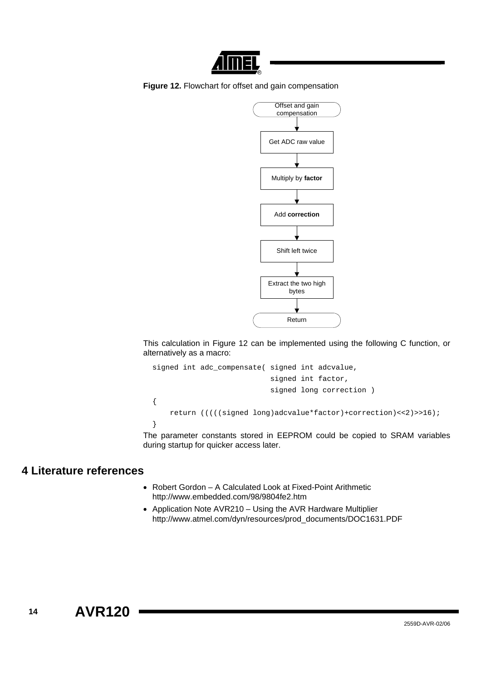

**Figure 12.** Flowchart for offset and gain compensation



This calculation in [Figure 12](#page-12-1) can be implemented using the following C function, or alternatively as a macro:

```
signed int adc_compensate( signed int adcvalue, 
                              signed int factor, 
                              signed long correction ) 
{ 
     return (((((signed long)adcvalue*factor)+correction)<<2)>>16); 
}
```
The parameter constants stored in EEPROM could be copied to SRAM variables during startup for quicker access later.

## **4 Literature references**

- Robert Gordon A Calculated Look at Fixed-Point Arithmetic http://www.embedded.com/98/9804fe2.htm
- Application Note AVR210 Using the AVR Hardware Multiplier http://www.atmel.com/dyn/resources/prod\_documents/DOC1631.PDF